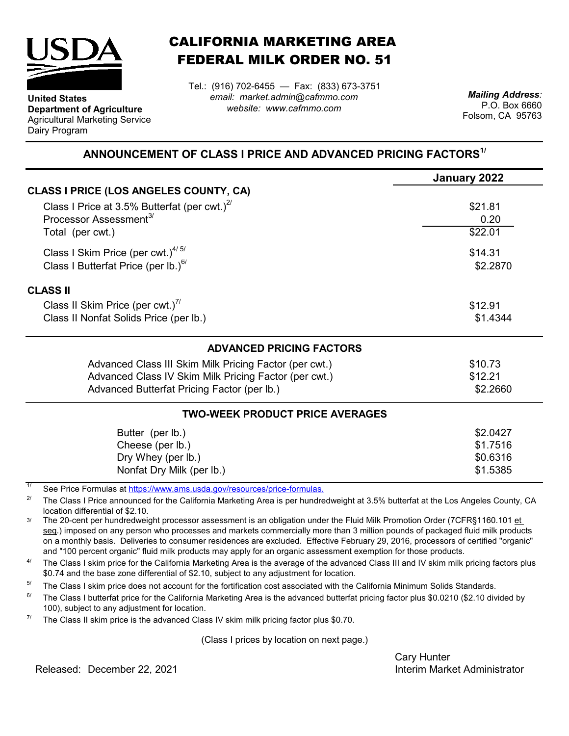

**Department of Agriculture** Agricultural Marketing Service

**United States**

Dairy Program

CALIFORNIA MARKETING AREA FEDERAL MILK ORDER NO. 51

*email: market.admin@cafmmo.com website: www.cafmmo.com* Tel.: (916) 702-6455 — Fax: (833) 673-3751 *Mailing Address:*

P.O. Box 6660 Folsom, CA 95763

## **ANNOUNCEMENT OF CLASS I PRICE AND ADVANCED PRICING FACTORS1/**

| January 2022                           |
|----------------------------------------|
|                                        |
| \$21.81                                |
| 0.20                                   |
| \$22.01                                |
| \$14.31                                |
| \$2.2870                               |
|                                        |
| \$12.91                                |
| \$1.4344                               |
|                                        |
| \$10.73                                |
| \$12.21                                |
| \$2.2660                               |
| <b>TWO-WEEK PRODUCT PRICE AVERAGES</b> |
| \$2.0427                               |
| \$1.7516                               |
| \$0.6316                               |
| \$1.5385                               |
|                                        |

1/ [See Price Formulas at h](https://www.ams.usda.gov/resources/price-formulas)ttps://www.ams.usda.gov/resources/price-formulas.

2/ The Class I Price announced for the California Marketing Area is per hundredweight at 3.5% butterfat at the Los Angeles County, CA location differential of \$2.10.

3/ The 20-cent per hundredweight processor assessment is an obligation under the Fluid Milk Promotion Order (7CFR§1160.101 et seq.) imposed on any person who processes and markets commercially more than 3 million pounds of packaged fluid milk products on a monthly basis. Deliveries to consumer residences are excluded. Effective February 29, 2016, processors of certified "organic" and "100 percent organic" fluid milk products may apply for an organic assessment exemption for those products.

 $\Delta l$ The Class I skim price for the California Marketing Area is the average of the advanced Class III and IV skim milk pricing factors plus \$0.74 and the base zone differential of \$2.10, subject to any adjustment for location.

5/ The Class I skim price does not account for the fortification cost associated with the California Minimum Solids Standards.

 $6/$ The Class I butterfat price for the California Marketing Area is the advanced butterfat pricing factor plus \$0.0210 (\$2.10 divided by 100), subject to any adjustment for location.

7/ The Class II skim price is the advanced Class IV skim milk pricing factor plus \$0.70.

(Class I prices by location on next page.)

Cary Hunter

Released: Interim Market Administrator December 22, 2021